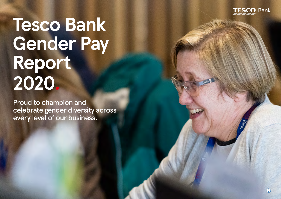

# **Tesco Bank Gender Pay Report 2020.**

Proud to champion and celebrate gender diversity across every level of our business.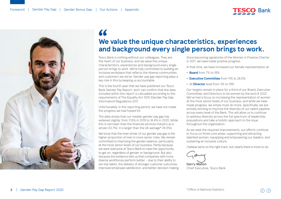



## **We value the unique characteristics, experiences and background every single person brings to work . "**<br>We<br>202

Tesco Bank is nothing without our colleagues. They are the heart of our business, and we value the unique characteristics, experiences and background every single person brings to work. We're fully committed to building an inclusive workplace that reflects the diverse communities and customers we serve. Gender pay gap reporting plays a key role in this by keeping us accountable.

This is the fourth year that we have published our Tesco Bank Gender Pay Report, and I can confirm that the data included within this report is calculated according to the requirements of The Equality Act 2010 (Gender Pay Gap Information) Regulations 2017.

Unfortunately, in this reporting period, we have not made the progress we had hoped for.

The data shows that our median gender pay gap has widened slightly, from 17.6% in 2019 to 18.4% in 2020. While this is narrower than the financial services industry as a whole (33.7%), it is larger than the UK average\* (15.5%).

We know that the main driver of our gender pay gap is the higher proportion of men in more senior roles. We remain committed to improving the gender balance, particularly at the most senior levels of our business. Partly because we want everyone at Tesco Bank to have the opportunity to get on, regardless of gender or background. But also because the evidence tells us that companies with more diverse workforces perform better – due to their ability to win top talent, the delivery of stronger customer outcomes, improved employee satisfaction, and better decision making. Since becoming signatories of the Women in Finance Charter in 2017, we have made positive progress.

In that time, we have increased our female representation at:

- **• Board** from 7% to 18%
- **• Executive Committee** from 11% to 28.5%
- **•** All **Director** level from 3% to 19%

Our targets remain in place for a third of our Board, Executive Committee, and Directors to be women by the end of 2022. We've had a focus on increasing the representation of women at the most senior levels of our business, and while we have made progress, we simply must do more. Specifically, we are actively working to improve the diversity of our talent pipeline across every level of the Bank. This will allow us to continue to address diversity across the full spectrum of leadership populations and take a holistic approach to the issue throughout the organisation.

As we seek the required improvements, our efforts continue to focus on three core areas: supporting and attracting talented women; equipping and empowering our leaders; and sustaining an inclusive culture.

I believe we're on the right track, but clearly there is more to do.

**Gerry Mallon** Chief Executive, Tesco Bank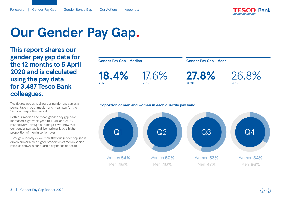

## **Our Gender Pay Gap.**

**This report shares our gender pay gap data for the 12 months to 5 April 2020 and is calculated using the pay data for 3,487 Tesco Bank colleagues.**

The figures opposite show our gender pay gap as a percentage in both median and mean pay for the 12-month reporting period.

Both our median and mean gender pay gap have increased slightly this year, to 18.4% and 27.8% respectively. Through our analysis, we know that our gender pay gap is driven primarily by a higher proportion of men in senior roles.

Through our analysis, we know that our gender pap gap is driven primarily by a higher proportion of men in senior roles, as shown in our quartile pay bands opposite.

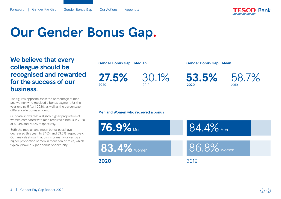

## **Our Gender Bonus Gap.**

**We believe that every colleague should be recognised and rewarded for the success of our business**.

The figures opposite show the percentage of men and women who received a bonus payment for the year ending 5 April 2020, as well as the percentage difference in bonus amount.

Our data shows that a slightly higher proportion of women compared with men received a bonus in 2020 at 83.4% and 76.9% respectively.

Both the median and mean bonus gaps have decreased this year, to 27.5% and 53.5% respectively. Our analysis shows that this is primarily driven by a higher proportion of men in more senior roles, which typically have a higher bonus opportunity.

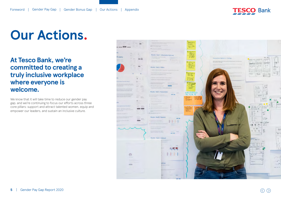

# **Our Actions.**

## **At Tesco Bank, we're committed to creating a truly inclusive workplace where everyone is welcome.**

We know that it will take time to reduce our gender pay gap, and we're continuing to focus our efforts across three core pillars: support and attract talented women, equip and empower our leaders, and sustain an inclusive culture.

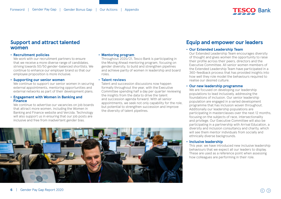

## **Support and attract talented women**

#### **• Recruitment policies**

We work with our recruitment partners to ensure that we receive a more diverse range of candidates, striving towards 50/50 gender-balanced shortlists. We continue to enhance our employer brand so that our employee proposition is more inclusive.

### **• Supporting our senior women**

We continue to support our senior women in securing external appointments, mentoring opportunities and external networks as part of their development plans.

### **• Engagement with Women in Banking and Finance**

We continue to advertise our vacancies on job boards that attract more women, including the Women in Banking and Finance website and Vercida. Technology will also support us in ensuring that our job posts are inclusive and free from inadvertent gender bias.

### **• Mentoring program**

Throughout 2020/21, Tesco Bank is participating in the Moving Ahead mentoring program, focusing on gender diversity, to build and strengthen pipelines and achieve parity of women in leadership and board roles.

#### **• Talent reviews**

Talent and succession discussions now happen formally throughout the year, with the Executive Committee spending half a day per quarter reviewing the insights from the data to drive the talent and succession agenda forward. With all senior appointments, we seek not only capability for the role, but potential to strengthen succession and improve the diversity of talent pipelines.



## **Equip and empower our leaders**

## **• Our Extended Leadership Team**

Our Extended Leadership Team encourages diversity of thought and gives women the opportunity to raise their profile across their peers, directors and the Executive Committee. All senior women members of the Extended Leadership Team have participated in a 360-feedback process that has provided insights into how well they role model the behaviours required to realise our desired culture.

## **• Our new leadership programme**

We are focused on developing our leadership populations to lead inclusively, addressing the foundations of inclusion. Our senior leadership population are engaged in a varied development programme that has inclusion woven throughout. Additionally our leadership populations are participating in masterclasses over the next 12 months, focusing on the subjects of race, intersectionality and privilege. Our Executive Committee will also be participating in a partnership with Arrival Education, a diversity and inclusion consultancy and charity, which will see them mentor individuals from socially and ethnically diverse backgrounds.

### **• Inclusive leadership**

This year, we have introduced new inclusive leadership behaviours that we expect all our leaders to display. These are used as a reference point when assessing how colleagues are performing in their role.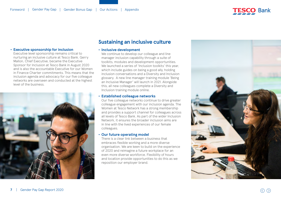

## **• Executive sponsorship for inclusion**

Executive level sponsorship remains critical to nurturing an inclusive culture at Tesco Bank. Gerry Mallon, Chief Executive, became the Executive Sponsor for Inclusion at Tesco Bank in August 2020 and is also the accountable Executive for our Women in Finance Charter commitments. This means that the inclusion agenda and advocacy for our five colleague networks are overseen and conducted at the highest level of the business.



## **Sustaining an inclusive culture**

#### **• Inclusive development**

We continue to develop our colleague and line manager inclusion capability through a suite of toolkits, modules and development opportunities. We launched a series of 'Inclusion toolkits' this year, which include guides on being a good ally, holding inclusion conversations and a Diversity and Inclusion glossary. A new line manager training module 'Being an Inclusive Manager' will launch in 2021. Alongside this, all new colleagues complete a Diversity and Inclusion training module online.

### **• Established colleague networks**

Our five colleague networks continue to drive greater colleague engagement with our inclusion agenda. The Women at Tesco Network has a strong membership and provides a support channel for colleagues across all levels of Tesco Bank. As part of the wider Inclusion Network, it ensures the broader inclusion aims are in line with the lived experiences of our female colleagues.

#### **• Our future operating model**

There is a clear link between a business that embraces flexible working and a more diverse organisation. We are keen to build on the experience of 2020 and reimagine a future workplace for an even more diverse workforce. Flexibility of hours and location provide opportunities to do this as we reposition our employer brand.

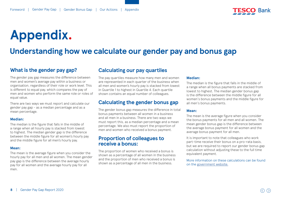

# <span id="page-7-0"></span>**Appendix.**

## **Understanding how we calculate our gender pay and bonus gap**

## **What is the gender pay gap?**

The gender pay gap measures the difference between men and women's average pay within a business or organisation, regardless of their role or work level. This is different to equal pay, which compares the pay of men and women who perform the same role or roles of equal value.

There are two ways we must report and calculate our gender pay gap - as a median percentage and as a mean percentage.

### **Median:**

The median is the figure that falls in the middle of a range when all hourly pay is stacked from lowest to highest. The median gender gap is the difference between the middle figure for all women's hourly pay and the middle figure for all men's hourly pay.

#### **Mean:**

The mean is the average figure when you consider the hourly pay for all men and all women. The mean gender pay gap is the difference between the average hourly pay for all women and the average hourly pay for all men.

## **Calculating our pay quartiles**

The pay quartiles measure how many men and women are represented in each quarter of the business when all men and women's hourly pay is stacked from lowest in Quartile 1 to highest in Quartile 4. Each quartile shown contains an equal number of colleagues.

## **Calculating the gender bonus gap**

The gender bonus gap measures the difference in total bonus payments between all women in a business and all men in a business. There are two ways we must report this, as a median percentage and a mean percentage. We also must report the proportion of men and women who received a bonus payment.

## **Proportion of colleagues to receive a bonus:**

The proportion of women who received a bonus is shown as a percentage of all women in the business and the proportion of men who received a bonus is shown as a percentage of all men in the business.

## **Median:**

The median is the figure that falls in the middle of a range when all bonus payments are stacked from lowest to highest. The median gender bonus gap is the difference between the middle figure for all women's bonus payments and the middle figure for all men's bonus payments.

## **Mean:**

The mean is the average figure when you consider the bonus payments for all men and all women. The mean gender bonus gap is the difference between the average bonus payment for all women and the average bonus payment for all men.

It is important to note that colleagues who work part-time receive their bonus on a pro-rata basis, but we are required to report our gender bonus gap calculation without adjusting these to the full time equivalent payment.

More information on these calculations can be found on the [government website.](https://www.gov.uk/guidance/gender-pay-gap-reporting-make-your-calculations)